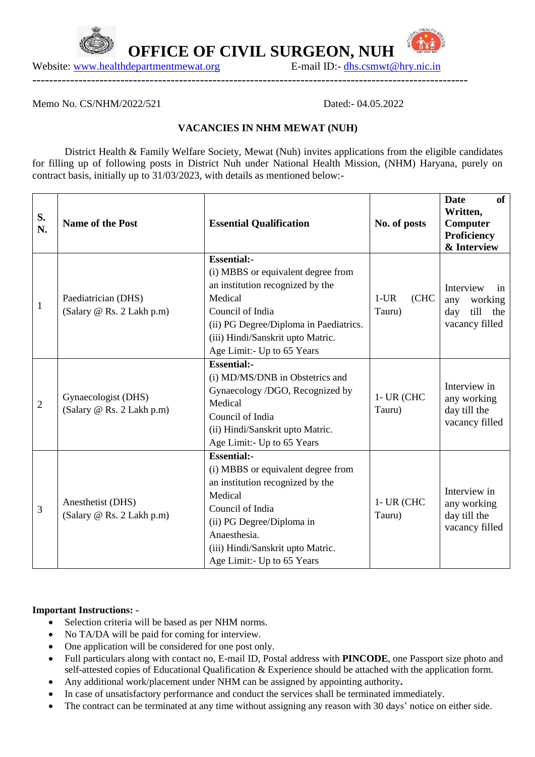

 **OFFICE OF CIVIL SURGEON, NUH**

Website: [www.healthdepartmentmewat.org](http://www.healthdepartmentmewat.org/) E-mail ID:- [dhs.csmwt@hry.nic.in](mailto:dhs.csmwt@hry.nic.in)

Memo No. CS/NHM/2022/521 Dated:- 04.05.2022

 $UFA$ 

## **VACANCIES IN NHM MEWAT (NUH)**

--------------------------------------------------------------------------------------------------------

District Health & Family Welfare Society, Mewat (Nuh) invites applications from the eligible candidates for filling up of following posts in District Nuh under National Health Mission, (NHM) Haryana, purely on contract basis, initially up to 31/03/2023, with details as mentioned below:-

| S.<br>N.     | <b>Name of the Post</b>                          | <b>Essential Qualification</b>                                                                                                                                                                                                              | No. of posts               | <b>Date</b><br><b>of</b><br>Written,<br>Computer<br>Proficiency<br>& Interview |
|--------------|--------------------------------------------------|---------------------------------------------------------------------------------------------------------------------------------------------------------------------------------------------------------------------------------------------|----------------------------|--------------------------------------------------------------------------------|
| $\mathbf{1}$ | Paediatrician (DHS)<br>(Salary @ Rs. 2 Lakh p.m) | <b>Essential:-</b><br>(i) MBBS or equivalent degree from<br>an institution recognized by the<br>Medical<br>Council of India<br>(ii) PG Degree/Diploma in Paediatrics.<br>(iii) Hindi/Sanskrit upto Matric.<br>Age Limit:- Up to 65 Years    | (CHC)<br>$1$ -UR<br>Tauru) | Interview<br>in<br>working<br>any<br>till<br>the<br>day<br>vacancy filled      |
| 2            | Gynaecologist (DHS)<br>(Salary @ Rs. 2 Lakh p.m) | <b>Essential:-</b><br>(i) MD/MS/DNB in Obstetrics and<br>Gynaecology /DGO, Recognized by<br>Medical<br>Council of India<br>(ii) Hindi/Sanskrit upto Matric.<br>Age Limit: - Up to 65 Years                                                  | $1$ - UR (CHC<br>Tauru)    | Interview in<br>any working<br>day till the<br>vacancy filled                  |
| 3            | Anesthetist (DHS)<br>(Salary @ Rs. 2 Lakh p.m)   | <b>Essential:-</b><br>(i) MBBS or equivalent degree from<br>an institution recognized by the<br>Medical<br>Council of India<br>(ii) PG Degree/Diploma in<br>Anaesthesia.<br>(iii) Hindi/Sanskrit upto Matric.<br>Age Limit:- Up to 65 Years | $1$ - UR (CHC<br>Tauru)    | Interview in<br>any working<br>day till the<br>vacancy filled                  |

## **Important Instructions: -**

- Selection criteria will be based as per NHM norms.
- No TA/DA will be paid for coming for interview.
- One application will be considered for one post only.
- Full particulars along with contact no, E-mail ID, Postal address with **PINCODE**, one Passport size photo and self-attested copies of Educational Qualification & Experience should be attached with the application form.
- Any additional work/placement under NHM can be assigned by appointing authority**.**
- In case of unsatisfactory performance and conduct the services shall be terminated immediately.
- The contract can be terminated at any time without assigning any reason with 30 days' notice on either side.